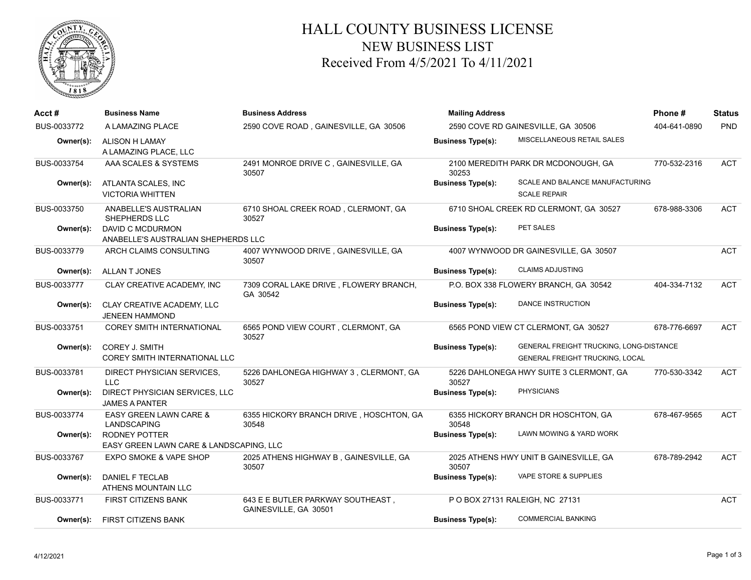

## HALL COUNTY BUSINESS LICENSE NEW BUSINESS LIST Received From 4/5/2021 To 4/11/2021

| Acct#       | <b>Business Name</b>                                            | <b>Business Address</b>                                    | <b>Mailing Address</b>             |                                                                                   | Phone#       | <b>Status</b> |
|-------------|-----------------------------------------------------------------|------------------------------------------------------------|------------------------------------|-----------------------------------------------------------------------------------|--------------|---------------|
| BUS-0033772 | A LAMAZING PLACE                                                | 2590 COVE ROAD, GAINESVILLE, GA 30506                      | 2590 COVE RD GAINESVILLE, GA 30506 |                                                                                   | 404-641-0890 | PND           |
| Owner(s):   | ALISON H LAMAY<br>A LAMAZING PLACE, LLC                         |                                                            | <b>Business Type(s):</b>           | MISCELLANEOUS RETAIL SALES                                                        |              |               |
| BUS-0033754 | AAA SCALES & SYSTEMS                                            | 2491 MONROE DRIVE C, GAINESVILLE, GA<br>30507              | 30253                              | 2100 MEREDITH PARK DR MCDONOUGH, GA                                               | 770-532-2316 | <b>ACT</b>    |
| Owner(s):   | ATLANTA SCALES, INC<br><b>VICTORIA WHITTEN</b>                  |                                                            | <b>Business Type(s):</b>           | SCALE AND BALANCE MANUFACTURING<br><b>SCALE REPAIR</b>                            |              |               |
| BUS-0033750 | ANABELLE'S AUSTRALIAN<br>SHEPHERDS LLC                          | 6710 SHOAL CREEK ROAD, CLERMONT, GA<br>30527               |                                    | 6710 SHOAL CREEK RD CLERMONT, GA 30527                                            | 678-988-3306 | <b>ACT</b>    |
| Owner(s):   | DAVID C MCDURMON<br>ANABELLE'S AUSTRALIAN SHEPHERDS LLC         |                                                            | <b>Business Type(s):</b>           | PET SALES                                                                         |              |               |
| BUS-0033779 | ARCH CLAIMS CONSULTING                                          | 4007 WYNWOOD DRIVE, GAINESVILLE, GA<br>30507               |                                    | 4007 WYNWOOD DR GAINESVILLE, GA 30507                                             |              | <b>ACT</b>    |
| Owner(s):   | <b>ALLAN T JONES</b>                                            |                                                            | <b>Business Type(s):</b>           | <b>CLAIMS ADJUSTING</b>                                                           |              |               |
| BUS-0033777 | CLAY CREATIVE ACADEMY, INC                                      | 7309 CORAL LAKE DRIVE, FLOWERY BRANCH,<br>GA 30542         |                                    | P.O. BOX 338 FLOWERY BRANCH, GA 30542                                             | 404-334-7132 | <b>ACT</b>    |
| Owner(s):   | CLAY CREATIVE ACADEMY, LLC<br><b>JENEEN HAMMOND</b>             |                                                            | <b>Business Type(s):</b>           | <b>DANCE INSTRUCTION</b>                                                          |              |               |
| BUS-0033751 | <b>COREY SMITH INTERNATIONAL</b>                                | 6565 POND VIEW COURT, CLERMONT, GA<br>30527                |                                    | 6565 POND VIEW CT CLERMONT, GA 30527                                              | 678-776-6697 | <b>ACT</b>    |
| Owner(s):   | COREY J. SMITH<br>COREY SMITH INTERNATIONAL LLC                 |                                                            | <b>Business Type(s):</b>           | GENERAL FREIGHT TRUCKING, LONG-DISTANCE<br><b>GENERAL FREIGHT TRUCKING, LOCAL</b> |              |               |
| BUS-0033781 | DIRECT PHYSICIAN SERVICES,<br><b>LLC</b>                        | 5226 DAHLONEGA HIGHWAY 3, CLERMONT, GA<br>30527            | 30527                              | 5226 DAHLONEGA HWY SUITE 3 CLERMONT, GA                                           | 770-530-3342 | <b>ACT</b>    |
| Owner(s):   | DIRECT PHYSICIAN SERVICES, LLC<br><b>JAMES A PANTER</b>         |                                                            | <b>Business Type(s):</b>           | <b>PHYSICIANS</b>                                                                 |              |               |
| BUS-0033774 | EASY GREEN LAWN CARE &<br>LANDSCAPING                           | 6355 HICKORY BRANCH DRIVE, HOSCHTON, GA<br>30548           | 30548                              | 6355 HICKORY BRANCH DR HOSCHTON, GA                                               | 678-467-9565 | <b>ACT</b>    |
| Owner(s):   | <b>RODNEY POTTER</b><br>EASY GREEN LAWN CARE & LANDSCAPING, LLC |                                                            | <b>Business Type(s):</b>           | LAWN MOWING & YARD WORK                                                           |              |               |
| BUS-0033767 | <b>EXPO SMOKE &amp; VAPE SHOP</b>                               | 2025 ATHENS HIGHWAY B, GAINESVILLE, GA<br>30507            | 30507                              | 2025 ATHENS HWY UNIT B GAINESVILLE, GA                                            | 678-789-2942 | <b>ACT</b>    |
| Owner(s):   | DANIEL F TECLAB<br>ATHENS MOUNTAIN LLC                          |                                                            | <b>Business Type(s):</b>           | VAPE STORE & SUPPLIES                                                             |              |               |
| BUS-0033771 | <b>FIRST CITIZENS BANK</b>                                      | 643 E E BUTLER PARKWAY SOUTHEAST,<br>GAINESVILLE, GA 30501 |                                    | P O BOX 27131 RALEIGH, NC 27131                                                   |              | <b>ACT</b>    |
| Owner(s):   | <b>FIRST CITIZENS BANK</b>                                      |                                                            | <b>Business Type(s):</b>           | <b>COMMERCIAL BANKING</b>                                                         |              |               |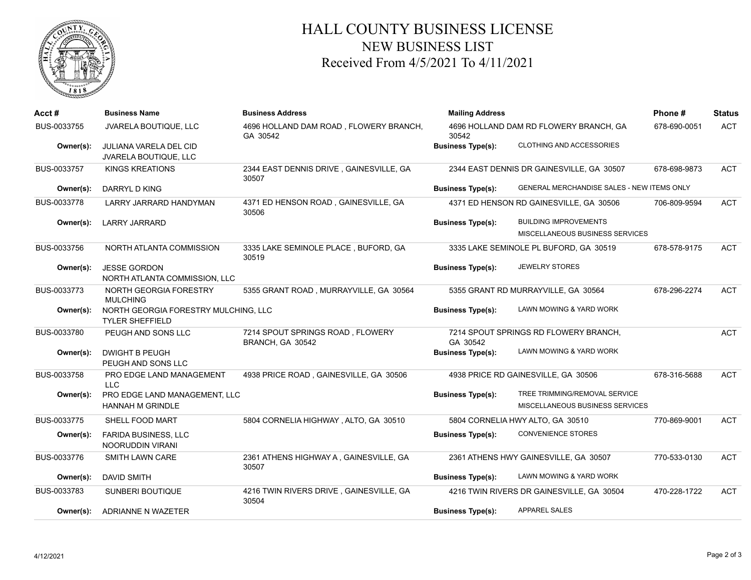

## HALL COUNTY BUSINESS LICENSE NEW BUSINESS LIST Received From 4/5/2021 To 4/11/2021

| Acct #      | <b>Business Name</b>                                           | <b>Business Address</b>                              | <b>Mailing Address</b>                          |                                            | Phone#       | <b>Status</b> |
|-------------|----------------------------------------------------------------|------------------------------------------------------|-------------------------------------------------|--------------------------------------------|--------------|---------------|
| BUS-0033755 | JVARELA BOUTIQUE, LLC                                          | 4696 HOLLAND DAM ROAD, FLOWERY BRANCH,<br>GA 30542   | 4696 HOLLAND DAM RD FLOWERY BRANCH, GA<br>30542 |                                            | 678-690-0051 | <b>ACT</b>    |
| Owner(s):   | JULIANA VARELA DEL CID<br>JVARELA BOUTIQUE, LLC                |                                                      | <b>Business Type(s):</b>                        | <b>CLOTHING AND ACCESSORIES</b>            |              |               |
| BUS-0033757 | <b>KINGS KREATIONS</b>                                         | 2344 EAST DENNIS DRIVE, GAINESVILLE, GA<br>30507     |                                                 | 2344 EAST DENNIS DR GAINESVILLE, GA 30507  | 678-698-9873 | <b>ACT</b>    |
| Owner(s):   | DARRYL D KING                                                  |                                                      | <b>Business Type(s):</b>                        | GENERAL MERCHANDISE SALES - NEW ITEMS ONLY |              |               |
| BUS-0033778 | LARRY JARRARD HANDYMAN                                         | 4371 ED HENSON ROAD, GAINESVILLE, GA<br>30506        |                                                 | 4371 ED HENSON RD GAINESVILLE, GA 30506    | 706-809-9594 | <b>ACT</b>    |
| Owner(s):   | <b>LARRY JARRARD</b>                                           |                                                      | <b>Business Type(s):</b>                        | <b>BUILDING IMPROVEMENTS</b>               |              |               |
|             |                                                                |                                                      |                                                 | MISCELLANEOUS BUSINESS SERVICES            |              |               |
| BUS-0033756 | NORTH ATLANTA COMMISSION                                       | 3335 LAKE SEMINOLE PLACE, BUFORD, GA<br>30519        |                                                 | 3335 LAKE SEMINOLE PL BUFORD, GA 30519     | 678-578-9175 | <b>ACT</b>    |
| Owner(s):   | <b>JESSE GORDON</b><br>NORTH ATLANTA COMMISSION, LLC           |                                                      | <b>Business Type(s):</b>                        | <b>JEWELRY STORES</b>                      |              |               |
| BUS-0033773 | NORTH GEORGIA FORESTRY<br><b>MULCHING</b>                      | 5355 GRANT ROAD, MURRAYVILLE, GA 30564               |                                                 | 5355 GRANT RD MURRAYVILLE, GA 30564        | 678-296-2274 | <b>ACT</b>    |
| Owner(s):   | NORTH GEORGIA FORESTRY MULCHING, LLC<br><b>TYLER SHEFFIELD</b> |                                                      | <b>Business Type(s):</b>                        | LAWN MOWING & YARD WORK                    |              |               |
| BUS-0033780 | PEUGH AND SONS LLC                                             | 7214 SPOUT SPRINGS ROAD, FLOWERY<br>BRANCH, GA 30542 | GA 30542                                        | 7214 SPOUT SPRINGS RD FLOWERY BRANCH,      |              | <b>ACT</b>    |
| Owner(s):   | <b>DWIGHT B PEUGH</b><br>PEUGH AND SONS LLC                    |                                                      | <b>Business Type(s):</b>                        | LAWN MOWING & YARD WORK                    |              |               |
| BUS-0033758 | PRO EDGE LAND MANAGEMENT<br><b>LLC</b>                         | 4938 PRICE ROAD, GAINESVILLE, GA 30506               |                                                 | 4938 PRICE RD GAINESVILLE, GA 30506        | 678-316-5688 | <b>ACT</b>    |
| Owner(s):   | PRO EDGE LAND MANAGEMENT, LLC                                  |                                                      | <b>Business Type(s):</b>                        | TREE TRIMMING/REMOVAL SERVICE              |              |               |
|             | <b>HANNAH M GRINDLE</b>                                        |                                                      |                                                 | MISCELLANEOUS BUSINESS SERVICES            |              |               |
| BUS-0033775 | SHELL FOOD MART                                                | 5804 CORNELIA HIGHWAY, ALTO, GA 30510                |                                                 | 5804 CORNELIA HWY ALTO, GA 30510           | 770-869-9001 | <b>ACT</b>    |
| Owner(s):   | <b>FARIDA BUSINESS, LLC</b><br><b>NOORUDDIN VIRANI</b>         |                                                      | <b>Business Type(s):</b>                        | <b>CONVENIENCE STORES</b>                  |              |               |
| BUS-0033776 | <b>SMITH LAWN CARE</b>                                         | 2361 ATHENS HIGHWAY A, GAINESVILLE, GA<br>30507      |                                                 | 2361 ATHENS HWY GAINESVILLE, GA 30507      | 770-533-0130 | <b>ACT</b>    |
| Owner(s):   | <b>DAVID SMITH</b>                                             |                                                      | <b>Business Type(s):</b>                        | LAWN MOWING & YARD WORK                    |              |               |
| BUS-0033783 | SUNBERI BOUTIQUE                                               | 4216 TWIN RIVERS DRIVE, GAINESVILLE, GA<br>30504     |                                                 | 4216 TWIN RIVERS DR GAINESVILLE, GA 30504  | 470-228-1722 | <b>ACT</b>    |
| Owner(s):   | ADRIANNE N WAZETER                                             |                                                      | <b>Business Type(s):</b>                        | <b>APPAREL SALES</b>                       |              |               |
|             |                                                                |                                                      |                                                 |                                            |              |               |